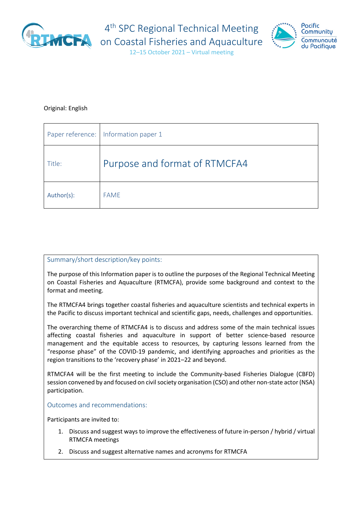

4<sup>th</sup> SPC Regional Technical Meeting



12–15 October 2021 – Virtual meeting

#### Original: English

|            | Paper reference:   Information paper 1 |
|------------|----------------------------------------|
| Title:     | Purpose and format of RTMCFA4          |
| Author(s): | <b>FAME</b>                            |

#### Summary/short description/key points:

The purpose of this Information paper is to outline the purposes of the Regional Technical Meeting on Coastal Fisheries and Aquaculture (RTMCFA), provide some background and context to the format and meeting.

The RTMCFA4 brings together coastal fisheries and aquaculture scientists and technical experts in the Pacific to discuss important technical and scientific gaps, needs, challenges and opportunities.

The overarching theme of RTMCFA4 is to discuss and address some of the main technical issues affecting coastal fisheries and aquaculture in support of better science-based resource management and the equitable access to resources, by capturing lessons learned from the "response phase" of the COVID-19 pandemic, and identifying approaches and priorities as the region transitions to the 'recovery phase' in 2021–22 and beyond.

RTMCFA4 will be the first meeting to include the Community-based Fisheries Dialogue (CBFD) session convened by and focused on civil society organisation (CSO) and other non-state actor (NSA) participation.

Outcomes and recommendations:

Participants are invited to:

- 1. Discuss and suggest ways to improve the effectiveness of future in-person / hybrid / virtual RTMCFA meetings
- 2. Discuss and suggest alternative names and acronyms for RTMCFA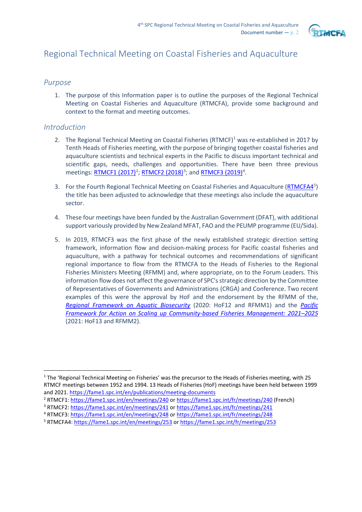

# Regional Technical Meeting on Coastal Fisheries and Aquaculture

#### *Purpose*

1. The purpose of this Information paper is to outline the purposes of the Regional Technical Meeting on Coastal Fisheries and Aquaculture (RTMCFA), provide some background and context to the format and meeting outcomes.

#### *Introduction*

- 2. The Regional Technical Meeting on Coastal Fisheries  $(RTMCF)^1$  $(RTMCF)^1$  was re-established in 2017 by Tenth Heads of Fisheries meeting, with the purpose of bringing together coastal fisheries and aquaculture scientists and technical experts in the Pacific to discuss important technical and scientific gaps, needs, challenges and opportunities. There have been three previous meetings[: RTMCF1 \(2017\)](https://fame1.spc.int/en/meetings/240)<sup>[2](#page-1-1)</sup>; [RTMCF2 \(2018\)](https://fame1.spc.int/en/meetings/241)<sup>[3](#page-1-2)</sup>; and [RTMCF3 \(2019\)](https://fame1.spc.int/en/meetings/248)<sup>[4](#page-1-3)</sup>.
- 3. For the Fourth Regional Technical Meeting on Coastal Fisheries and Aquaculture [\(RTMCFA4](https://fame1.spc.int/en/meetings/253)<sup>[5](#page-1-4)</sup>) the title has been adjusted to acknowledge that these meetings also include the aquaculture sector.
- 4. These four meetings have been funded by the Australian Government (DFAT), with additional support variously provided by New Zealand MFAT, FAO and the PEUMP programme (EU/Sida).
- 5. In 2019, RTMCF3 was the first phase of the newly established strategic direction setting framework, information flow and decision-making process for Pacific coastal fisheries and aquaculture, with a pathway for technical outcomes and recommendations of significant regional importance to flow from the RTMCFA to the Heads of Fisheries to the Regional Fisheries Ministers Meeting (RFMM) and, where appropriate, on to the Forum Leaders. This information flow does not affect the governance of SPC's strategic direction by the Committee of Representatives of Governments and Administrations (CRGA) and Conference. Two recent examples of this were the approval by HoF and the endorsement by the RFMM of the, *[Regional Framework on Aquatic Biosecurity](https://purl.org/spc/digilib/doc/23nkb)* (2020: HoF12 and RFMM1) and the *[Pacific](https://purl.org/spc/digilib/doc/yr5yv)  [Framework for Action on Scaling up Community-based Fisheries Management: 2021–2025](https://purl.org/spc/digilib/doc/yr5yv)* (2021: HoF13 and RFMM2).

<span id="page-1-0"></span><sup>&</sup>lt;sup>1</sup> The 'Regional Technical Meeting on Fisheries' was the precursor to the Heads of Fisheries meeting, with 25 RTMCF meetings between 1952 and 1994. 13 Heads of Fisheries (HoF) meetings have been held between 1999 and 2021[. https://fame1.spc.int/en/publications/meeting-documents](https://fame1.spc.int/en/publications/meeting-documents)

<span id="page-1-1"></span><sup>&</sup>lt;sup>2</sup> RTMCF1: <https://fame1.spc.int/en/meetings/240> or<https://fame1.spc.int/fr/meetings/240> (French)

<span id="page-1-2"></span><sup>&</sup>lt;sup>3</sup> RTMCF2: <https://fame1.spc.int/en/meetings/241> or<https://fame1.spc.int/fr/meetings/241>

<span id="page-1-3"></span><sup>4</sup> RTMCF3: <https://fame1.spc.int/en/meetings/248> or<https://fame1.spc.int/fr/meetings/248>

<span id="page-1-4"></span><sup>5</sup> RTMCFA4: <https://fame1.spc.int/en/meetings/253> o[r https://fame1.spc.int/fr/meetings/253](https://fame1.spc.int/fr/meetings/253)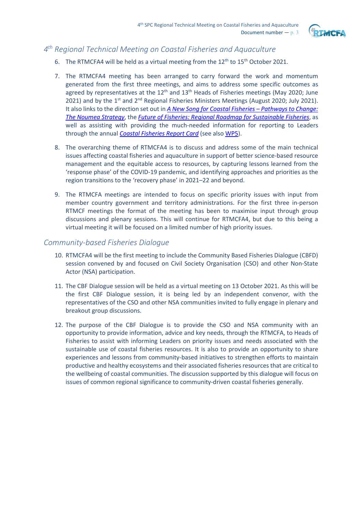

# *4th Regional Technical Meeting on Coastal Fisheries and Aquaculture*

- 6. The RTMCFA4 will be held as a virtual meeting from the  $12<sup>th</sup>$  to  $15<sup>th</sup>$  October 2021.
- 7. The RTMCFA4 meeting has been arranged to carry forward the work and momentum generated from the first three meetings, and aims to address some specific outcomes as agreed by representatives at the  $12<sup>th</sup>$  and  $13<sup>th</sup>$  Heads of Fisheries meetings (May 2020; June 2021) and by the  $1^{st}$  and  $2^{nd}$  Regional Fisheries Ministers Meetings (August 2020; July 2021). It also links to the direction set out in *[A New Song for Coastal Fisheries –](https://purl.org/spc/digilib/doc/b8hvs) Pathways to Change: [The Noumea Strategy](https://purl.org/spc/digilib/doc/b8hvs)*, the *[Future of Fisheries: Regional Roadmap for Sustainable Fisheries](https://purl.org/spc/digilib/doc/xnc9f)*, as well as assisting with providing the much-needed information for reporting to Leaders through the annual *[Coastal Fisheries Report Card](https://fame1.spc.int/en/publications/roadmap-a-report-cards)* (see als[o WP5\)](https://www.spc.int/DigitalLibrary/Doc/FAME/Meetings/RTMCF/4/RTMCFA4_WP05_EN.pdf).
- 8. The overarching theme of RTMCFA4 is to discuss and address some of the main technical issues affecting coastal fisheries and aquaculture in support of better science-based resource management and the equitable access to resources, by capturing lessons learned from the 'response phase' of the COVID-19 pandemic, and identifying approaches and priorities as the region transitions to the 'recovery phase' in 2021–22 and beyond.
- 9. The RTMCFA meetings are intended to focus on specific priority issues with input from member country government and territory administrations. For the first three in-person RTMCF meetings the format of the meeting has been to maximise input through group discussions and plenary sessions. This will continue for RTMCFA4, but due to this being a virtual meeting it will be focused on a limited number of high priority issues.

## *Community-based Fisheries Dialogue*

- 10. RTMCFA4 will be the first meeting to include the Community Based Fisheries Dialogue (CBFD) session convened by and focused on Civil Society Organisation (CSO) and other Non-State Actor (NSA) participation.
- 11. The CBF Dialogue session will be held as a virtual meeting on 13 October 2021. As this will be the first CBF Dialogue session, it is being led by an independent convenor, with the representatives of the CSO and other NSA communities invited to fully engage in plenary and breakout group discussions.
- 12. The purpose of the CBF Dialogue is to provide the CSO and NSA community with an opportunity to provide information, advice and key needs, through the RTMCFA, to Heads of Fisheries to assist with informing Leaders on priority issues and needs associated with the sustainable use of coastal fisheries resources. It is also to provide an opportunity to share experiences and lessons from community-based initiatives to strengthen efforts to maintain productive and healthy ecosystems and their associated fisheries resources that are critical to the wellbeing of coastal communities. The discussion supported by this dialogue will focus on issues of common regional significance to community-driven coastal fisheries generally.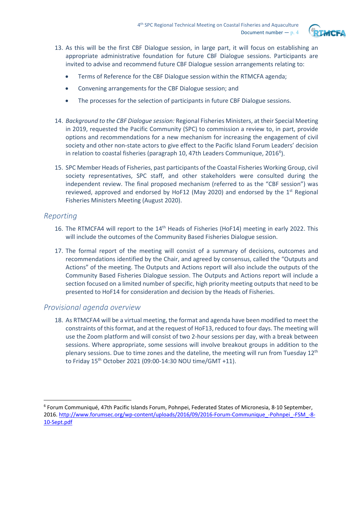

- 13. As this will be the first CBF Dialogue session, in large part, it will focus on establishing an appropriate administrative foundation for future CBF Dialogue sessions. Participants are invited to advise and recommend future CBF Dialogue session arrangements relating to:
	- Terms of Reference for the CBF Dialogue session within the RTMCFA agenda;
	- Convening arrangements for the CBF Dialogue session; and
	- The processes for the selection of participants in future CBF Dialogue sessions.
- 14. *Background to the CBF Dialogue session:* Regional Fisheries Ministers, at their Special Meeting in 2019, requested the Pacific Community (SPC) to commission a review to, in part, provide options and recommendations for a new mechanism for increasing the engagement of civil society and other non-state actors to give effect to the Pacific Island Forum Leaders' decision in relation to coastal fisheries (paragraph 10, 47th Leaders Communique, 201[6](#page-3-0)<sup>6</sup>).
- 15. SPC Member Heads of Fisheries, past participants of the Coastal Fisheries Working Group, civil society representatives, SPC staff, and other stakeholders were consulted during the independent review. The final proposed mechanism (referred to as the "CBF session") was reviewed, approved and endorsed by HoF12 (May 2020) and endorsed by the  $1<sup>st</sup>$  Regional Fisheries Ministers Meeting (August 2020).

# *Reporting*

- 16. The RTMCFA4 will report to the 14<sup>th</sup> Heads of Fisheries (HoF14) meeting in early 2022. This will include the outcomes of the Community Based Fisheries Dialogue session.
- 17. The formal report of the meeting will consist of a summary of decisions, outcomes and recommendations identified by the Chair, and agreed by consensus, called the "Outputs and Actions" of the meeting. The Outputs and Actions report will also include the outputs of the Community Based Fisheries Dialogue session. The Outputs and Actions report will include a section focused on a limited number of specific, high priority meeting outputs that need to be presented to HoF14 for consideration and decision by the Heads of Fisheries.

## *Provisional agenda overview*

18. As RTMCFA4 will be a virtual meeting, the format and agenda have been modified to meet the constraints of this format, and at the request of HoF13, reduced to four days. The meeting will use the Zoom platform and will consist of two 2-hour sessions per day, with a break between sessions. Where appropriate, some sessions will involve breakout groups in addition to the plenary sessions. Due to time zones and the dateline, the meeting will run from Tuesday 12th to Friday 15th October 2021 (09:00-14:30 NOU time/GMT +11).

<span id="page-3-0"></span><sup>6</sup> Forum Communiqué, 47th Pacific Islands Forum, Pohnpei, Federated States of Micronesia, 8-10 September, 2016. [http://www.forumsec.org/wp-content/uploads/2016/09/2016-Forum-Communique\\_-Pohnpei\\_-FSM\\_-8-](http://www.forumsec.org/wp-content/uploads/2016/09/2016-Forum-Communique_-Pohnpei_-FSM_-8-10-Sept.pdf) [10-Sept.pdf](http://www.forumsec.org/wp-content/uploads/2016/09/2016-Forum-Communique_-Pohnpei_-FSM_-8-10-Sept.pdf)